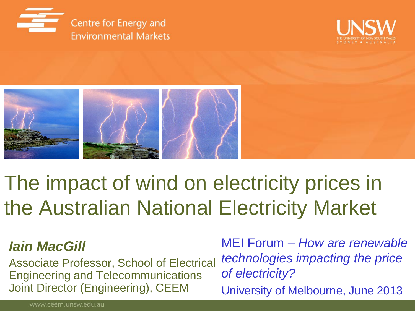





# The impact of wind on electricity prices in the Australian National Electricity Market

#### *Iain MacGill*

Associate Professor, School of Electrical Engineering and Telecommunications Joint Director (Engineering), CEEM

MEI Forum – *How are renewable technologies impacting the price of electricity?*

University of Melbourne, June 2013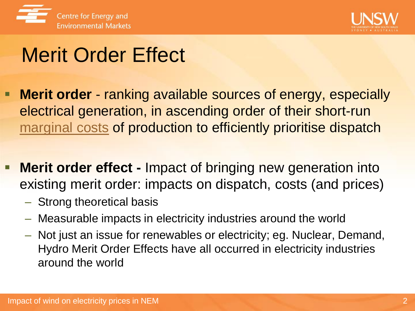



# Merit Order Effect

- **Merit order** ranking available sources of energy, especially electrical generation, in ascending order of their short-run [marginal costs](http://en.wikipedia.org/wiki/Marginal_cost) of production to efficiently prioritise dispatch
- **Merit order effect -** Impact of bringing new generation into existing merit order: impacts on dispatch, costs (and prices)
	- Strong theoretical basis
	- Measurable impacts in electricity industries around the world
	- Not just an issue for renewables or electricity; eg. Nuclear, Demand, Hydro Merit Order Effects have all occurred in electricity industries around the world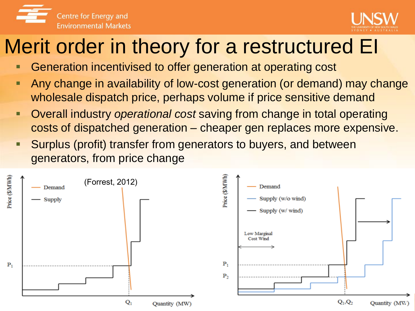



# Merit order in theory for a restructured EI

- Generation incentivised to offer generation at operating cost
- Any change in availability of low-cost generation (or demand) may change wholesale dispatch price, perhaps volume if price sensitive demand
- Overall industry *operational cost* saving from change in total operating costs of dispatched generation – cheaper gen replaces more expensive.
- Surplus (profit) transfer from generators to buyers, and between generators, from price change

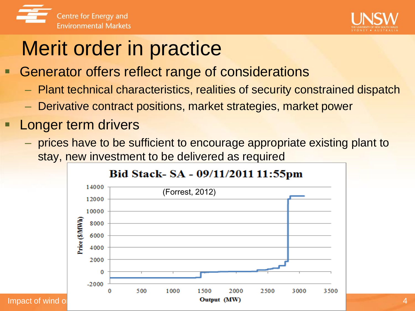



# Merit order in practice

- Generator offers reflect range of considerations
	- Plant technical characteristics, realities of security constrained dispatch
	- Derivative contract positions, market strategies, market power
- Longer term drivers
	- prices have to be sufficient to encourage appropriate existing plant to stay, new investment to be delivered as required



Impact of wind on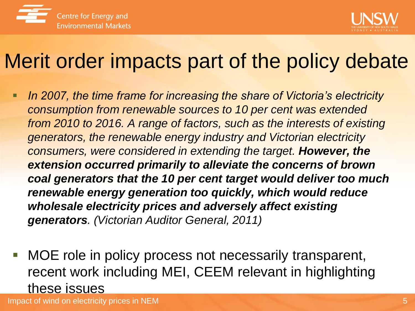



# Merit order impacts part of the policy debate

- **If the 2007, the time frame for increasing the share of Victoria's electricity** *consumption from renewable sources to 10 per cent was extended from 2010 to 2016. A range of factors, such as the interests of existing generators, the renewable energy industry and Victorian electricity consumers, were considered in extending the target. However, the extension occurred primarily to alleviate the concerns of brown coal generators that the 10 per cent target would deliver too much renewable energy generation too quickly, which would reduce wholesale electricity prices and adversely affect existing generators. (Victorian Auditor General, 2011)*
- MOE role in policy process not necessarily transparent, recent work including MEI, CEEM relevant in highlighting these issues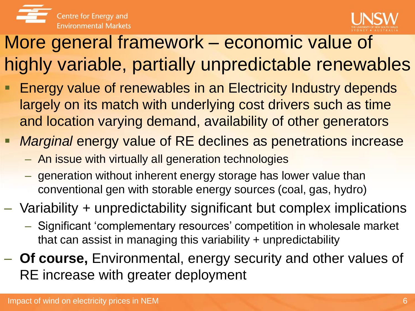



## More general framework – economic value of highly variable, partially unpredictable renewables

- Energy value of renewables in an Electricity Industry depends largely on its match with underlying cost drivers such as time and location varying demand, availability of other generators
- *Marginal* energy value of RE declines as penetrations increase
	- An issue with virtually all generation technologies
	- generation without inherent energy storage has lower value than conventional gen with storable energy sources (coal, gas, hydro)
- Variability + unpredictability significant but complex implications
	- Significant 'complementary resources' competition in wholesale market that can assist in managing this variability + unpredictability
- **Of course,** Environmental, energy security and other values of RE increase with greater deployment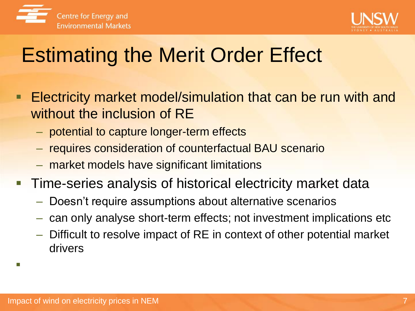



# Estimating the Merit Order Effect

- Electricity market model/simulation that can be run with and without the inclusion of RE
	- potential to capture longer-term effects
	- requires consideration of counterfactual BAU scenario
	- market models have significant limitations
- **Time-series analysis of historical electricity market data** 
	- Doesn't require assumptions about alternative scenarios
	- can only analyse short-term effects; not investment implications etc
	- Difficult to resolve impact of RE in context of other potential market drivers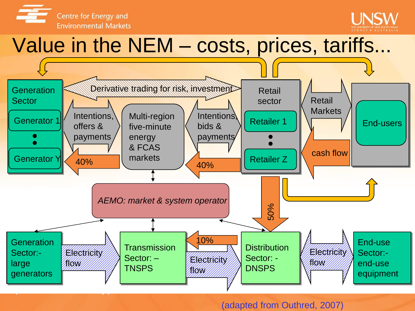



## Value in the NEM – costs, prices, tariffs...



#### (adapted from Outhred, 2007)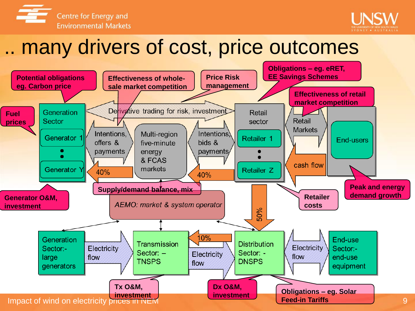



## .. many drivers of cost, price outcomes

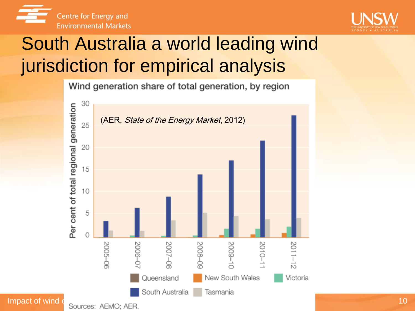![](_page_9_Picture_0.jpeg)

![](_page_9_Picture_1.jpeg)

## South Australia a world leading wind jurisdiction for empirical analysis

Wind generation share of total generation, by region

![](_page_9_Figure_4.jpeg)

10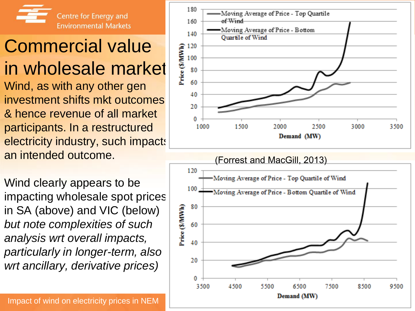![](_page_10_Picture_0.jpeg)

## Commercial value in wholesale market

Wind, as with any other gen investment shifts mkt outcomes, & hence revenue of all market participants. In a restructured electricity industry, such impacts an intended outcome.

Wind clearly appears to be impacting wholesale spot prices in SA (above) and VIC (below) *but note complexities of such analysis wrt overall impacts, particularly in longer-term, also wrt ancillary, derivative prices)*

![](_page_10_Figure_4.jpeg)

![](_page_10_Figure_5.jpeg)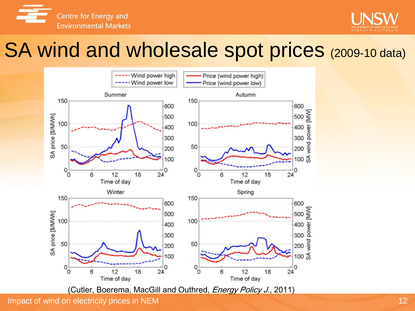![](_page_11_Picture_0.jpeg)

![](_page_11_Picture_1.jpeg)

### SA wind and wholesale spot prices (2009-10 data)

![](_page_11_Figure_3.jpeg)

(Cutler, Boerema, MacGill and Outhred, *Energy Policy J.*, 2011)

Impact of wind on electricity prices in NEM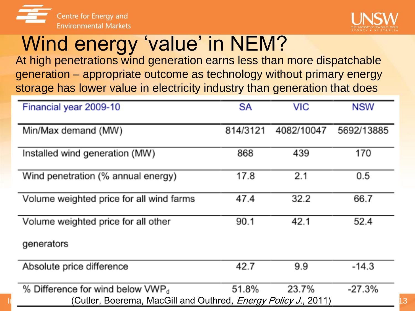![](_page_12_Picture_0.jpeg)

![](_page_12_Picture_1.jpeg)

# Wind energy 'value' in NEM?

At high penetrations wind generation earns less than more dispatchable generation – appropriate outcome as technology without primary energy storage has lower value in electricity industry than generation that does

| Financial year 2009-10                                                                                       | <b>SA</b> | <b>VIC</b> | <b>NSW</b> |
|--------------------------------------------------------------------------------------------------------------|-----------|------------|------------|
| Min/Max demand (MW)                                                                                          | 814/3121  | 4082/10047 | 5692/13885 |
| Installed wind generation (MW)                                                                               | 868       | 439        | 170        |
| Wind penetration (% annual energy)                                                                           | 17.8      | 2.1        | 0.5        |
| Volume weighted price for all wind farms                                                                     | 47.4      | 32.2       | 66.7       |
| Volume weighted price for all other                                                                          | 90.1      | 42.1       | 52.4       |
| generators                                                                                                   |           |            |            |
| Absolute price difference                                                                                    | 42.7      | 9.9        | $-14.3$    |
| % Difference for wind below $VWPd$<br>(Cutler, Boerema, MacGill and Outhred, <i>Energy Policy J.</i> , 2011) | 51.8%     | 23.7%      | $-27.3%$   |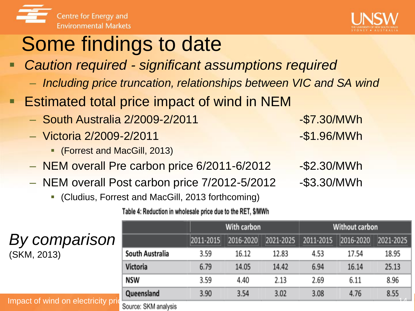![](_page_13_Picture_0.jpeg)

![](_page_13_Picture_1.jpeg)

# Some findings to date

- *Caution required - significant assumptions required*
	- *Including price truncation, relationships between VIC and SA wind*
- **Estimated total price impact of wind in NEM** 
	- South Australia 2/2009-2/2011 -\$7.30/MWh
	- Victoria 2/2009-2/2011 -\$1.96/MWh
		- (Forrest and MacGill, 2013)
	- NEM overall Pre carbon price 6/2011-6/2012 -\$2.30/MWh
	- NEM overall Post carbon price 7/2012-5/2012 -\$3.30/MWh
		- (Cludius, Forrest and MacGill, 2013 forthcoming)

Table 4: Reduction in wholesale price due to the RET, \$/MWh

| By comparison |
|---------------|
| (SKM, 2013)   |

#### With carbon **Without carbon** 2011-2015 2016-2020 2021-2025 2011-2015 2016-2020 2021-2025 South Australia 3.59 16.12 12.83 4.53 17.54 18.95 Victoria 6.79 14.05 14.42 6.94 16.14 25.13 NSW 3.59 4.40 2.13 2.69 6.11 8.96 Queensland 3.90 3.54 3.02 3.08 4.76 8.55

#### Impact of wind on electricity prices in Source: SKM analysis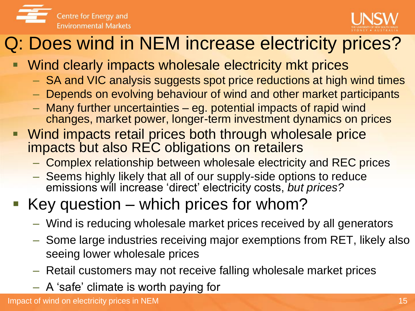![](_page_14_Picture_0.jpeg)

![](_page_14_Picture_1.jpeg)

#### Q: Does wind in NEM increase electricity prices?

- **Wind clearly impacts wholesale electricity mkt prices** 
	- SA and VIC analysis suggests spot price reductions at high wind times
	- Depends on evolving behaviour of wind and other market participants
	- Many further uncertainties eg. potential impacts of rapid wind changes, market power, longer-term investment dynamics on prices
- Wind impacts retail prices both through wholesale price impacts but also REC obligations on retailers
	- Complex relationship between wholesale electricity and REC prices
	- Seems highly likely that all of our supply-side options to reduce emissions will increase 'direct' electricity costs, *but prices?*

#### Key question – which prices for whom?

- Wind is reducing wholesale market prices received by all generators
- Some large industries receiving major exemptions from RET, likely also seeing lower wholesale prices
- Retail customers may not receive falling wholesale market prices
- A 'safe' climate is worth paying for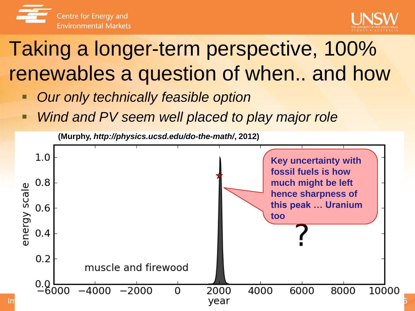![](_page_15_Picture_0.jpeg)

![](_page_15_Picture_1.jpeg)

# Taking a longer-term perspective, 100% renewables a question of when.. and how

- *Our only technically feasible option*
- *Wind and PV seem well placed to play major role*

![](_page_15_Figure_5.jpeg)

![](_page_15_Figure_6.jpeg)